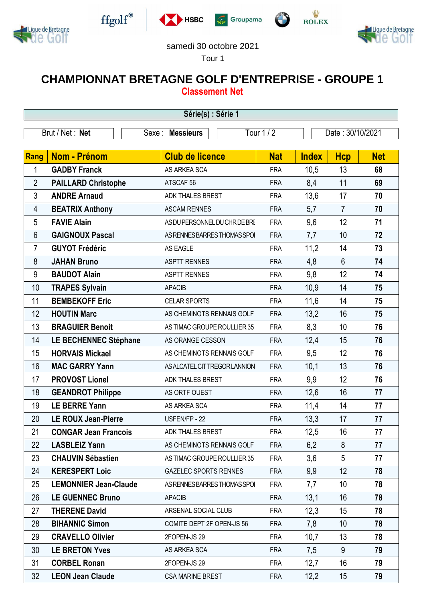



 $\operatorname{ffgolf}^{\circledast}$ 







## samedi 30 octobre 2021

Tour 1

## **CHAMPIONNAT BRETAGNE GOLF D'ENTREPRISE - GROUPE 1 Classement Net**

| Série(s) : Série 1 |                              |                               |            |              |                  |            |  |  |  |  |
|--------------------|------------------------------|-------------------------------|------------|--------------|------------------|------------|--|--|--|--|
| Brut / Net: Net    |                              | Sexe: Messieurs               | Tour 1 / 2 |              | Date: 30/10/2021 |            |  |  |  |  |
|                    |                              |                               |            |              |                  |            |  |  |  |  |
| Rang               | Nom - Prénom                 | <b>Club de licence</b>        | <b>Nat</b> | <b>Index</b> | <b>Hcp</b>       | <b>Net</b> |  |  |  |  |
| 1                  | <b>GADBY Franck</b>          | AS ARKEA SCA                  | <b>FRA</b> | 10,5         | 13               | 68         |  |  |  |  |
| $\overline{2}$     | <b>PAILLARD Christophe</b>   | ATSCAF <sub>56</sub>          | <b>FRA</b> | 8,4          | 11               | 69         |  |  |  |  |
| 3                  | <b>ANDRE Arnaud</b>          | ADK THALES BREST              | <b>FRA</b> | 13,6         | 17               | 70         |  |  |  |  |
| 4                  | <b>BEATRIX Anthony</b>       | <b>ASCAM RENNES</b>           | <b>FRA</b> | 5,7          | $\overline{7}$   | 70         |  |  |  |  |
| 5                  | <b>FAVIE Alain</b>           | AS DU PERSONNEL DU CHR DE BRE | <b>FRA</b> | 9,6          | 12               | 71         |  |  |  |  |
| $6\phantom{1}$     | <b>GAIGNOUX Pascal</b>       | AS RENNES BARRES THOMAS SPOI  | <b>FRA</b> | 7,7          | 10               | 72         |  |  |  |  |
| 7                  | <b>GUYOT Frédéric</b>        | <b>AS EAGLE</b>               | <b>FRA</b> | 11,2         | 14               | 73         |  |  |  |  |
| 8                  | <b>JAHAN Bruno</b>           | <b>ASPTT RENNES</b>           | <b>FRA</b> | 4,8          | $6\phantom{1}$   | 74         |  |  |  |  |
| 9                  | <b>BAUDOT Alain</b>          | <b>ASPTT RENNES</b>           | <b>FRA</b> | 9,8          | 12               | 74         |  |  |  |  |
| 10                 | <b>TRAPES Sylvain</b>        | <b>APACIB</b>                 | <b>FRA</b> | 10,9         | 14               | 75         |  |  |  |  |
| 11                 | <b>BEMBEKOFF Eric</b>        | <b>CELAR SPORTS</b>           | <b>FRA</b> | 11,6         | 14               | 75         |  |  |  |  |
| 12                 | <b>HOUTIN Marc</b>           | AS CHEMINOTS RENNAIS GOLF     | <b>FRA</b> | 13,2         | 16               | 75         |  |  |  |  |
| 13                 | <b>BRAGUIER Benoit</b>       | AS TIMAC GROUPE ROULLIER 35   | <b>FRA</b> | 8,3          | 10               | 76         |  |  |  |  |
| 14                 | <b>LE BECHENNEC Stéphane</b> | AS ORANGE CESSON              | <b>FRA</b> | 12,4         | 15               | 76         |  |  |  |  |
| 15                 | <b>HORVAIS Mickael</b>       | AS CHEMINOTS RENNAIS GOLF     | <b>FRA</b> | 9,5          | 12               | 76         |  |  |  |  |
| 16                 | <b>MAC GARRY Yann</b>        | AS ALCATEL CIT TREGOR LANNION | <b>FRA</b> | 10,1         | 13               | 76         |  |  |  |  |
| 17                 | <b>PROVOST Lionel</b>        | ADK THALES BREST              | <b>FRA</b> | 9,9          | 12               | 76         |  |  |  |  |
| 18                 | <b>GEANDROT Philippe</b>     | AS ORTF OUEST                 | <b>FRA</b> | 12,6         | 16               | 77         |  |  |  |  |
| 19                 | <b>LE BERRE Yann</b>         | AS ARKEA SCA                  | <b>FRA</b> | 11,4         | 14               | 77         |  |  |  |  |
| 20                 | <b>LE ROUX Jean-Pierre</b>   | USFEN/FP - 22                 | <b>FRA</b> | 13,3         | 17               | 77         |  |  |  |  |
| 21                 | <b>CONGAR Jean Francois</b>  | ADK THALES BREST              | <b>FRA</b> | 12,5         | 16               | 77         |  |  |  |  |
| 22                 | <b>LASBLEIZ Yann</b>         | AS CHEMINOTS RENNAIS GOLF     | <b>FRA</b> | 6,2          | 8                | 77         |  |  |  |  |
| 23                 | <b>CHAUVIN Sébastien</b>     | AS TIMAC GROUPE ROULLIER 35   | <b>FRA</b> | 3,6          | 5                | 77         |  |  |  |  |
| 24                 | <b>KERESPERT Loic</b>        | <b>GAZELEC SPORTS RENNES</b>  | <b>FRA</b> | 9,9          | 12               | 78         |  |  |  |  |
| 25                 | <b>LEMONNIER Jean-Claude</b> | AS RENNES BARRES THOMAS SPOI  | <b>FRA</b> | 7,7          | 10               | 78         |  |  |  |  |
| 26                 | <b>LE GUENNEC Bruno</b>      | <b>APACIB</b>                 | <b>FRA</b> | 13,1         | 16               | 78         |  |  |  |  |
| 27                 | <b>THERENE David</b>         | ARSENAL SOCIAL CLUB           | <b>FRA</b> | 12,3         | 15               | 78         |  |  |  |  |
| 28                 | <b>BIHANNIC Simon</b>        | COMITE DEPT 2F OPEN-JS 56     | <b>FRA</b> | 7,8          | 10               | 78         |  |  |  |  |
| 29                 | <b>CRAVELLO Olivier</b>      | 2FOPEN-JS 29                  | <b>FRA</b> | 10,7         | 13               | 78         |  |  |  |  |
| 30                 | <b>LE BRETON Yves</b>        | AS ARKEA SCA                  | <b>FRA</b> | 7,5          | 9                | 79         |  |  |  |  |
| 31                 | <b>CORBEL Ronan</b>          | 2FOPEN-JS 29                  | <b>FRA</b> | 12,7         | 16               | 79         |  |  |  |  |
| 32                 | <b>LEON Jean Claude</b>      | CSA MARINE BREST              | <b>FRA</b> | 12,2         | 15               | 79         |  |  |  |  |